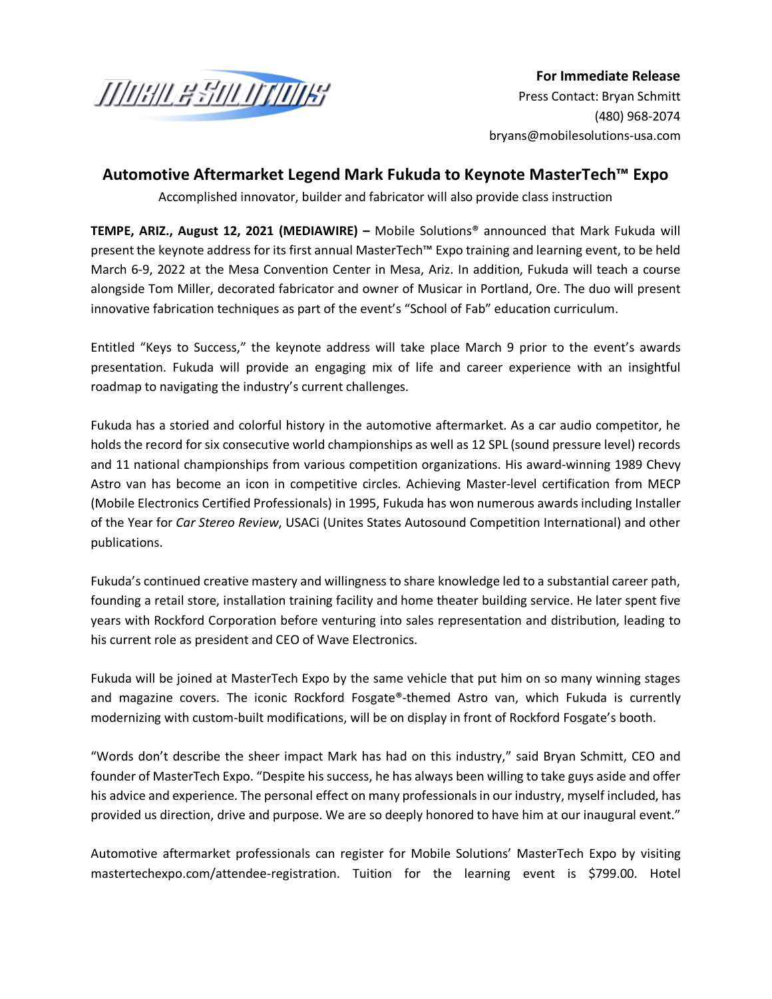

**For Immediate Release** Press Contact: Bryan Schmitt [\(480\) 9](mailto:jvarick@brandmotion.com)68-2074 bryans@mobilesolutions-usa.com

## **Automotive Aftermarket Legend Mark Fukuda to Keynote MasterTech™ Expo**

Accomplished innovator, builder and fabricator will also provide class instruction

**TEMPE, ARIZ., August 12, 2021 (MEDIAWIRE) –** Mobile Solutions® announced that Mark Fukuda will present the keynote address for its first annual MasterTech™ Expo training and learning event, to be held March 6-9, 2022 at the Mesa Convention Center in Mesa, Ariz. In addition, Fukuda will teach a course alongside Tom Miller, decorated fabricator and owner of Musicar in Portland, Ore. The duo will present innovative fabrication techniques as part of the event's "School of Fab" education curriculum.

Entitled "Keys to Success," the keynote address will take place March 9 prior to the event's awards presentation. Fukuda will provide an engaging mix of life and career experience with an insightful roadmap to navigating the industry's current challenges.

Fukuda has a storied and colorful history in the automotive aftermarket. As a car audio competitor, he holds the record for six consecutive world championships as well as 12 SPL (sound pressure level) records and 11 national championships from various competition organizations. His award-winning 1989 Chevy Astro van has become an icon in competitive circles. Achieving Master-level certification from MECP (Mobile Electronics Certified Professionals) in 1995, Fukuda has won numerous awards including Installer of the Year for *Car Stereo Review*, USACi (Unites States Autosound Competition International) and other publications.

Fukuda's continued creative mastery and willingness to share knowledge led to a substantial career path, founding a retail store, installation training facility and home theater building service. He later spent five years with Rockford Corporation before venturing into sales representation and distribution, leading to his current role as president and CEO of Wave Electronics.

Fukuda will be joined at MasterTech Expo by the same vehicle that put him on so many winning stages and magazine covers. The iconic Rockford Fosgate®-themed Astro van, which Fukuda is currently modernizing with custom-built modifications, will be on display in front of Rockford Fosgate's booth.

"Words don't describe the sheer impact Mark has had on this industry," said Bryan Schmitt, CEO and founder of MasterTech Expo. "Despite his success, he has always been willing to take guys aside and offer his advice and experience. The personal effect on many professionals in our industry, myself included, has provided us direction, drive and purpose. We are so deeply honored to have him at our inaugural event."

Automotive aftermarket professionals can register for Mobile Solutions' MasterTech Expo by visiting mastertechexpo.com/attendee-registration. Tuition for the learning event is \$799.00. Hotel